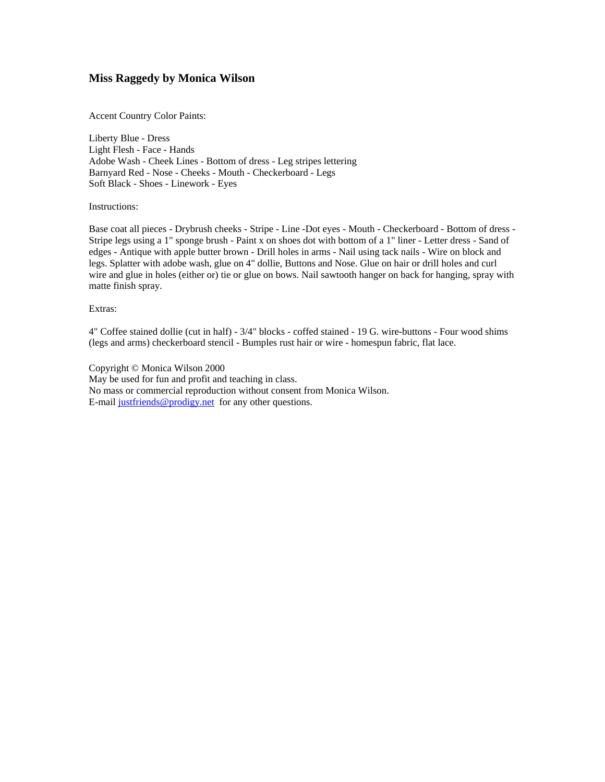## **Miss Raggedy by Monica Wilson**

Accent Country Color Paints:

Liberty Blue - Dress Light Flesh - Face - Hands Adobe Wash - Cheek Lines - Bottom of dress - Leg stripes lettering Barnyard Red - Nose - Cheeks - Mouth - Checkerboard - Legs Soft Black - Shoes - Linework - Eyes

Instructions:

Base coat all pieces - Drybrush cheeks - Stripe - Line -Dot eyes - Mouth - Checkerboard - Bottom of dress - Stripe legs using a 1" sponge brush - Paint x on shoes dot with bottom of a 1" liner - Letter dress - Sand of edges - Antique with apple butter brown - Drill holes in arms - Nail using tack nails - Wire on block and legs. Splatter with adobe wash, glue on 4" dollie, Buttons and Nose. Glue on hair or drill holes and curl wire and glue in holes (either or) tie or glue on bows. Nail sawtooth hanger on back for hanging, spray with matte finish spray.

## Extras:

4" Coffee stained dollie (cut in half) - 3/4" blocks - coffed stained - 19 G. wire-buttons - Four wood shims (legs and arms) checkerboard stencil - Bumples rust hair or wire - homespun fabric, flat lace.

Copyright © Monica Wilson 2000 May be used for fun and profit and teaching in class. No mass or commercial reproduction without consent from Monica Wilson. E-mail [justfriends@prodigy.net](mailto:justfriends@prodigy.net) for any other questions.